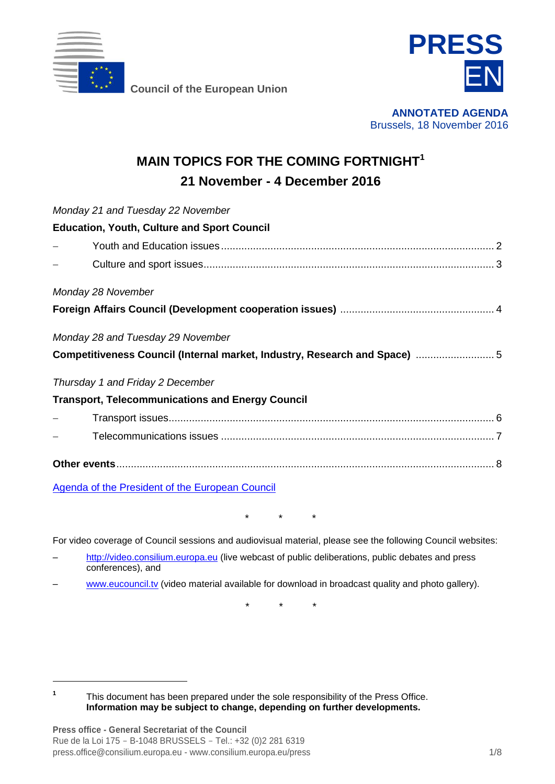

**Council of the European Union**



**ANNOTATED AGENDA** Brussels, 18 November 2016

## **MAIN TOPICS FOR THE COMING FORTNIGHT<sup>1</sup> 21 November - 4 December 2016**

| Monday 21 and Tuesday 22 November                                         |
|---------------------------------------------------------------------------|
| <b>Education, Youth, Culture and Sport Council</b>                        |
|                                                                           |
|                                                                           |
| Monday 28 November                                                        |
|                                                                           |
| Monday 28 and Tuesday 29 November                                         |
| Competitiveness Council (Internal market, Industry, Research and Space) 5 |
| Thursday 1 and Friday 2 December                                          |
| <b>Transport, Telecommunications and Energy Council</b>                   |
|                                                                           |
|                                                                           |
|                                                                           |

[Agenda of the President of the European Council](http://www.consilium.europa.eu/en/press/press-releases/2016/11/18-tusk-weekly-schedule/)

\* \* \*

For video coverage of Council sessions and audiovisual material, please see the following Council websites:

- [http://video.consilium.europa.eu](http://video.consilium.europa.eu/) (live webcast of public deliberations, public debates and press conferences), and
- [www.eucouncil.tv](http://www.eucouncil.tv/) (video material available for download in broadcast quality and photo gallery).

*\* \* \**

**1** This document has been prepared under the sole responsibility of the Press Office. **Information may be subject to change, depending on further developments.**

-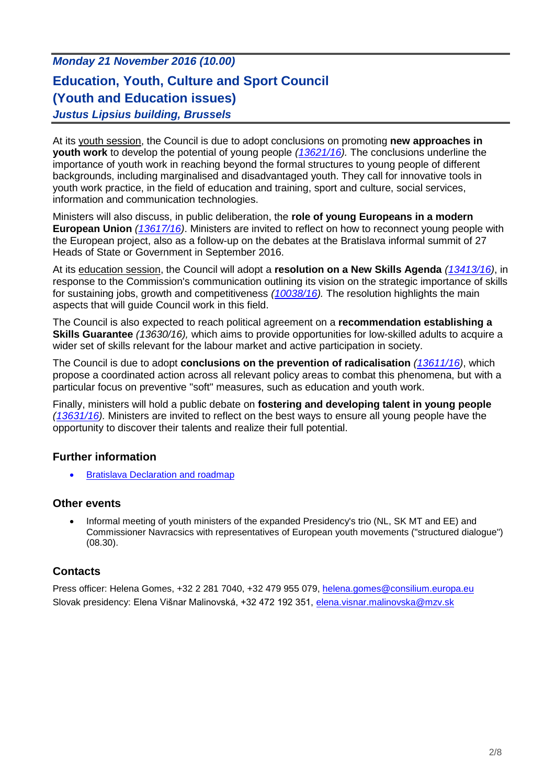## *Monday 21 November 2016 (10.00)* **Education, Youth, Culture and Sport Council (Youth and Education issues)** *Justus Lipsius building, Brussels*

At its youth session, the Council is due to adopt conclusions on promoting **new approaches in youth work** to develop the potential of young people *[\(13621/16\)](http://data.consilium.europa.eu/doc/document/ST-13621-2016-INIT/en/pdf).* The conclusions underline the importance of youth work in reaching beyond the formal structures to young people of different backgrounds, including marginalised and disadvantaged youth. They call for innovative tools in youth work practice, in the field of education and training, sport and culture, social services, information and communication technologies.

Ministers will also discuss, in public deliberation, the **role of young Europeans in a modern European Union** *[\(13617/16\)](http://data.consilium.europa.eu/doc/document/ST-13617-2016-INIT/en/pdf)*. Ministers are invited to reflect on how to reconnect young people with the European project, also as a follow-up on the debates at the Bratislava informal summit of 27 Heads of State or Government in September 2016.

At its education session, the Council will adopt a **resolution on a New Skills Agenda** *[\(13413/16\)](http://data.consilium.europa.eu/doc/document/ST-13413-2016-INIT/en/pdf)*, in response to the Commission's communication outlining its vision on the strategic importance of skills for sustaining jobs, growth and competitiveness *[\(10038/16\)](http://data.consilium.europa.eu/doc/document/ST-10038-2016-INIT/en/pdf).* The resolution highlights the main aspects that will guide Council work in this field.

The Council is also expected to reach political agreement on a **recommendation establishing a Skills Guarantee** *(13630/16),* which aims to provide opportunities for low-skilled adults to acquire a wider set of skills relevant for the labour market and active participation in society.

The Council is due to adopt **conclusions on the prevention of radicalisation** *[\(13611/16\)](http://data.consilium.europa.eu/doc/document/ST-13611-2016-INIT/en/pdf)*, which propose a coordinated action across all relevant policy areas to combat this phenomena, but with a particular focus on preventive "soft" measures, such as education and youth work.

Finally, ministers will hold a public debate on **fostering and developing talent in young people**  *[\(13631/16\)](http://data.consilium.europa.eu/doc/document/ST-13631-2016-INIT/en/pdf).* Ministers are invited to reflect on the best ways to ensure all young people have the opportunity to discover their talents and realize their full potential.

#### **Further information**

[Bratislava Declaration and roadmap](http://www.consilium.europa.eu/en/press/press-releases/2016/09/16-bratislava-declaration-and-roadmap/)

#### **Other events**

• Informal meeting of youth ministers of the expanded Presidency's trio (NL, SK MT and EE) and Commissioner Navracsics with representatives of European youth movements ("structured dialogue") (08.30).

#### **Contacts**

Press officer: Helena Gomes, +32 2 281 7040, +32 479 955 079, [helena.gomes@consilium.europa.eu](mailto:helena.gomes@consilium.europa.eu) Slovak presidency: Elena Višnar Malinovská, +32 472 192 351, [elena.visnar.malinovska@mzv.sk](mailto:elena.visnar.malinovska@mzv.sk)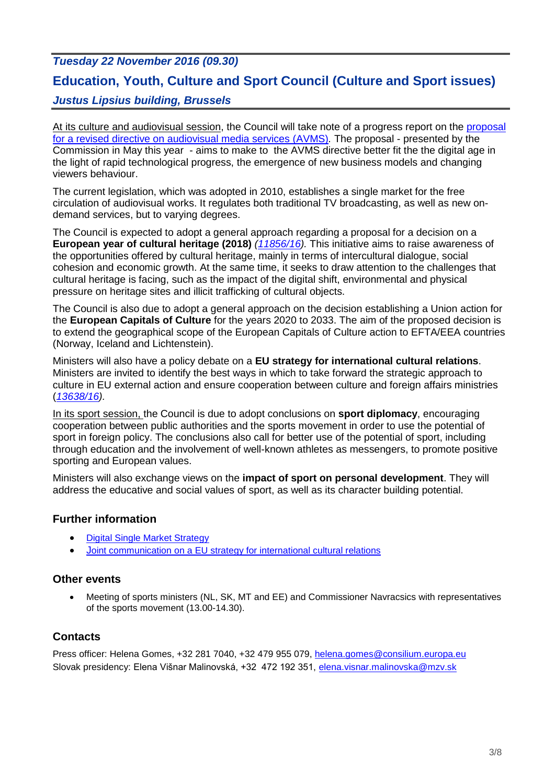## *Tuesday 22 November 2016 (09.30)* **Education, Youth, Culture and Sport Council (Culture and Sport issues)** *Justus Lipsius building, Brussels*

At its culture and audiovisual session, the Council will take note of a progress report on the proposal [for a revised directive on audiovisual media services](https://ec.europa.eu/digital-single-market/news-redirect/31573) (AVMS)*.* The proposal - presented by the Commission in May this year - aims to make to the AVMS directive better fit the the digital age in the light of rapid technological progress, the emergence of new business models and changing viewers behaviour.

The current legislation, which was adopted in 2010, establishes a single market for the free circulation of audiovisual works. It regulates both traditional TV broadcasting, as well as new ondemand services, but to varying degrees.

The Council is expected to adopt a general approach regarding a proposal for a decision on a **European year of cultural heritage (2018)** *[\(11856/16\)](http://data.consilium.europa.eu/doc/document/ST-11856-2016-INIT/en/pdf).* This initiative aims to raise awareness of the opportunities offered by cultural heritage, mainly in terms of intercultural dialogue, social cohesion and economic growth. At the same time, it seeks to draw attention to the challenges that cultural heritage is facing, such as the impact of the digital shift, environmental and physical pressure on heritage sites and illicit trafficking of cultural objects.

The Council is also due to adopt a general approach on the decision establishing a Union action for the **European Capitals of Culture** for the years 2020 to 2033. The aim of the proposed decision is to extend the geographical scope of the European Capitals of Culture action to EFTA/EEA countries (Norway, Iceland and Lichtenstein).

Ministers will also have a policy debate on a **EU strategy for international cultural relations**. Ministers are invited to identify the best ways in which to take forward the strategic approach to culture in EU external action and ensure cooperation between culture and foreign affairs ministries (*[13638/16\)](http://data.consilium.europa.eu/doc/document/ST-13638-2016-INIT/en/pdf).*

In its sport session, the Council is due to adopt conclusions on **sport diplomacy**, encouraging cooperation between public authorities and the sports movement in order to use the potential of sport in foreign policy. The conclusions also call for better use of the potential of sport, including through education and the involvement of well-known athletes as messengers, to promote positive sporting and European values.

Ministers will also exchange views on the **impact of sport on personal development**. They will address the educative and social values of sport, as well as its character building potential.

#### **Further information**

- [Digital Single Market Strategy](http://ec.europa.eu/priorities/digital-single-market/docs/dsm-communication_en.pdf)
- J[oint communication on a EU strategy for international cultural relations](http://data.consilium.europa.eu/doc/document/ST-10082-2016-INIT/en/pdf)

#### **Other events**

 Meeting of sports ministers (NL, SK, MT and EE) and Commissioner Navracsics with representatives of the sports movement (13.00-14.30).

#### **Contacts**

Press officer: Helena Gomes, +32 281 7040, +32 479 955 079, [helena.gomes@consilium.europa.eu](mailto:helena.gomes@consilium.europa.eu) Slovak presidency: Elena Višnar Malinovská, +32 472 192 351, [elena.visnar.malinovska@mzv.sk](mailto:elena.visnar.malinovska@mzv.sk)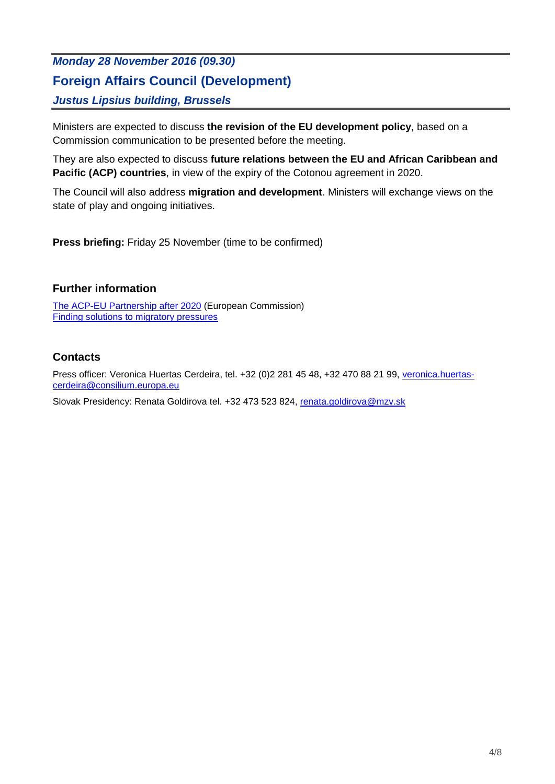## *Monday 28 November 2016 (09.30)* **Foreign Affairs Council (Development)** *Justus Lipsius building, Brussels*

Ministers are expected to discuss **the revision of the EU development policy**, based on a Commission communication to be presented before the meeting.

They are also expected to discuss **future relations between the EU and African Caribbean and Pacific (ACP) countries**, in view of the expiry of the Cotonou agreement in 2020.

The Council will also address **migration and development**. Ministers will exchange views on the state of play and ongoing initiatives.

**Press briefing:** Friday 25 November (time to be confirmed)

#### **Further information**

[The ACP-EU Partnership after 2020](https://ec.europa.eu/europeaid/policies/european-development-policy/acp-eu-partnership-after-2020_en) (European Commission) [Finding solutions to migratory pressures](http://www.consilium.europa.eu/en/policies/migratory-pressures/)

#### **Contacts**

Press officer: Veronica Huertas Cerdeira, tel. +32 (0)2 281 45 48, +32 470 88 21 99, [veronica.huertas](mailto:veronica.huertas-cerdeira@consilium.europa.eu)[cerdeira@consilium.europa.eu](mailto:veronica.huertas-cerdeira@consilium.europa.eu)

Slovak Presidency: Renata Goldirova tel. +32 473 523 824, [renata.goldirova@mzv.sk](mailto:renata.goldirova@mzv.sk)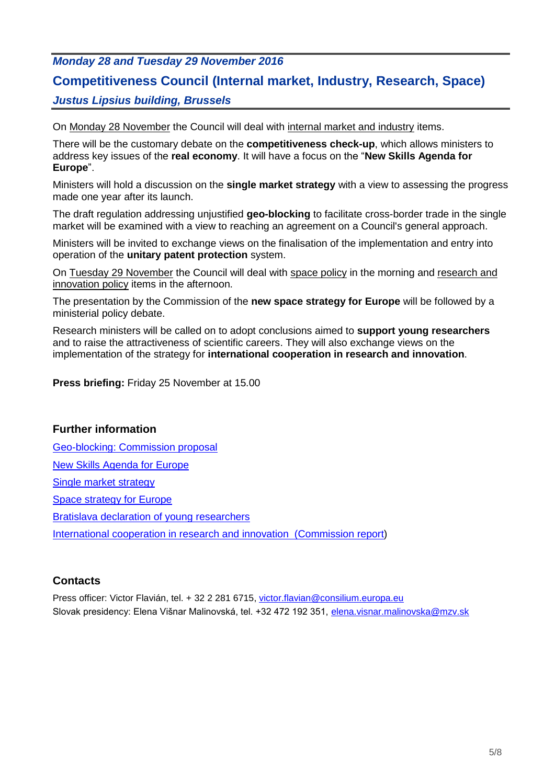#### *Monday 28 and Tuesday 29 November 2016*

### **Competitiveness Council (Internal market, Industry, Research, Space)**

#### *Justus Lipsius building, Brussels*

On Monday 28 November the Council will deal with internal market and industry items.

There will be the customary debate on the **competitiveness check-up**, which allows ministers to address key issues of the **real economy**. It will have a focus on the "**New Skills Agenda for Europe**".

Ministers will hold a discussion on the **single market strategy** with a view to assessing the progress made one year after its launch.

The draft regulation addressing unjustified **geo-blocking** to facilitate cross-border trade in the single market will be examined with a view to reaching an agreement on a Council's general approach.

Ministers will be invited to exchange views on the finalisation of the implementation and entry into operation of the **unitary patent protection** system.

On Tuesday 29 November the Council will deal with space policy in the morning and research and innovation policy items in the afternoon.

The presentation by the Commission of the **new space strategy for Europe** will be followed by a ministerial policy debate.

Research ministers will be called on to adopt conclusions aimed to **support young researchers** and to raise the attractiveness of scientific careers. They will also exchange views on the implementation of the strategy for **international cooperation in research and innovation**.

**Press briefing:** Friday 25 November at 15.00

#### **Further information**

[Geo-blocking: Commission proposal](http://ec.europa.eu/DocsRoom/documents/16742) [New Skills Agenda for Europe](http://ec.europa.eu/education/news/20160610-education-skills-factsheet_en) [Single market strategy](http://ec.europa.eu/growth/single-market/strategy_en) [Space strategy for Europe](http://ec.europa.eu/docsroom/documents/19442) [Bratislava declaration of young researchers](http://www.eu2016.sk/data/documents/bratislava-declaration-of-young-researchers-final.pdf) [International cooperation in research and innovation \(Commission report\)](http://ec.europa.eu/research/iscp/pdf/policy/progress_report_oct-2016.pdf#view=fit&pagemode=none)

#### **Contacts**

Press officer: Victor Flavián, tel. + 32 2 281 6715, victor.flavian@consilium.europa.eu Slovak presidency: Elena Višnar Malinovská, tel. +32 472 192 351, elena.visnar.malinovska@mzv.sk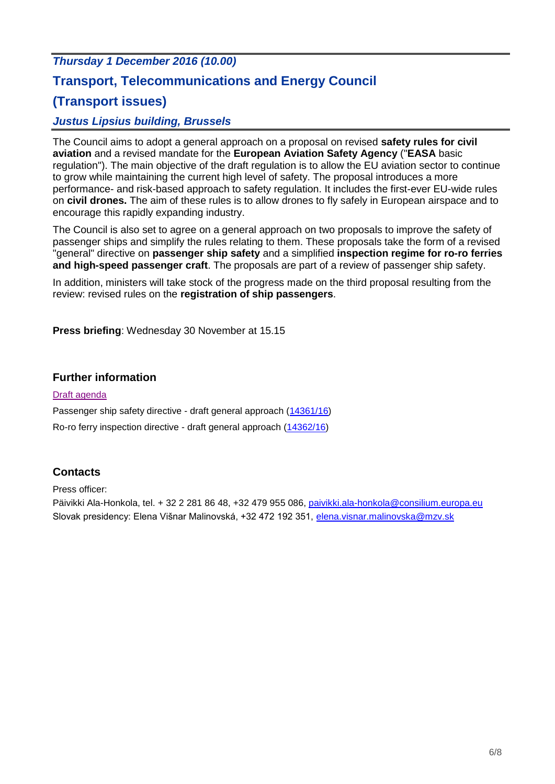# *Thursday 1 December 2016 (10.00)* **Transport, Telecommunications and Energy Council (Transport issues)**

#### *Justus Lipsius building, Brussels*

The Council aims to adopt a general approach on a proposal on revised **safety rules for civil aviation** and a revised mandate for the **European Aviation Safety Agency** ("**EASA** basic regulation"). The main objective of the draft regulation is to allow the EU aviation sector to continue to grow while maintaining the current high level of safety. The proposal introduces a more performance- and risk-based approach to safety regulation. It includes the first-ever EU-wide rules on **civil drones.** The aim of these rules is to allow drones to fly safely in European airspace and to encourage this rapidly expanding industry.

The Council is also set to agree on a general approach on two proposals to improve the safety of passenger ships and simplify the rules relating to them. These proposals take the form of a revised "general" directive on **passenger ship safety** and a simplified **inspection regime for ro-ro ferries and high-speed passenger craft**. The proposals are part of a review of passenger ship safety.

In addition, ministers will take stock of the progress made on the third proposal resulting from the review: revised rules on the **registration of ship passengers**.

**Press briefing**: Wednesday 30 November at 15.15

#### **Further information**

#### [Draft agenda](http://www.consilium.europa.eu/en/press/press-releases/2016/11/pdf/Draft-agenda-TTE/)

Passenger ship safety directive - draft general approach [\(14361/16\)](http://data.consilium.europa.eu/doc/document/ST-14361-2016-INIT/en/pdf)

Ro-ro ferry inspection directive - draft general approach [\(14362/16\)](http://data.consilium.europa.eu/doc/document/ST-14362-2016-INIT/en/pdf)

#### **Contacts**

Press officer:

Päivikki Ala-Honkola, tel. + 32 2 281 86 48, +32 479 955 086, [paivikki.ala-honkola@consilium.europa.eu](mailto:paivikki.ala-honkola@consilium.europa.eu) Slovak presidency: Elena Višnar Malinovská, +32 472 192 351, [elena.visnar.malinovska@mzv.sk](mailto:elena.visnar.malinovska@mzv.sk)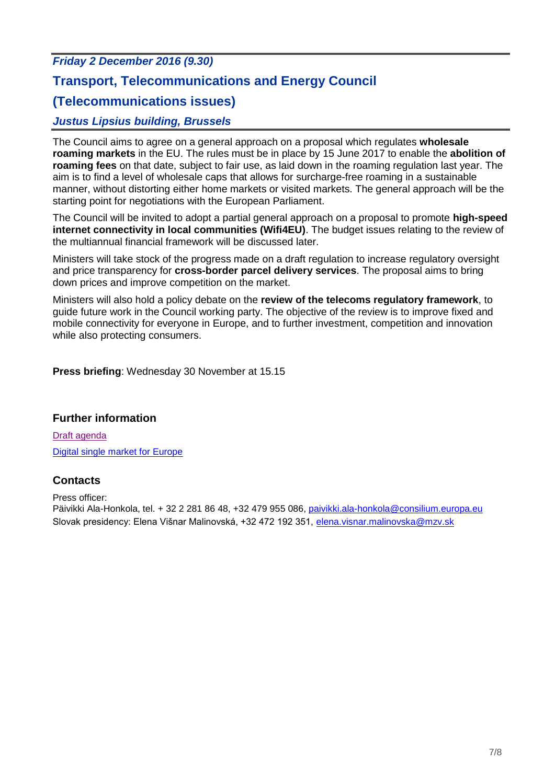# *Friday 2 December 2016 (9.30)* **Transport, Telecommunications and Energy Council (Telecommunications issues)** *Justus Lipsius building, Brussels*

The Council aims to agree on a general approach on a proposal which regulates **wholesale roaming markets** in the EU. The rules must be in place by 15 June 2017 to enable the **abolition of roaming fees** on that date, subject to fair use, as laid down in the roaming regulation last year. The aim is to find a level of wholesale caps that allows for surcharge-free roaming in a sustainable manner, without distorting either home markets or visited markets. The general approach will be the starting point for negotiations with the European Parliament.

The Council will be invited to adopt a partial general approach on a proposal to promote **high-speed internet connectivity in local communities (Wifi4EU)**. The budget issues relating to the review of the multiannual financial framework will be discussed later.

Ministers will take stock of the progress made on a draft regulation to increase regulatory oversight and price transparency for **cross-border parcel delivery services**. The proposal aims to bring down prices and improve competition on the market.

Ministers will also hold a policy debate on the **review of the telecoms regulatory framework**, to guide future work in the Council working party. The objective of the review is to improve fixed and mobile connectivity for everyone in Europe, and to further investment, competition and innovation while also protecting consumers.

**Press briefing**: Wednesday 30 November at 15.15

#### **Further information**

[Draft agenda](http://www.consilium.europa.eu/en/press/press-releases/2016/11/pdf/Draft-agenda-TTE/) [Digital single market for Europe](http://www.consilium.europa.eu/en/policies/digital-single-market-strategy/)

#### **Contacts**

Press officer: Päivikki Ala-Honkola, tel. + 32 2 281 86 48, +32 479 955 086, [paivikki.ala-honkola@consilium.europa.eu](mailto:paivikki.ala-honkola@consilium.europa.eu) Slovak presidency: Elena Višnar Malinovská, +32 472 192 351, [elena.visnar.malinovska@mzv.sk](mailto:elena.visnar.malinovska@mzv.sk)